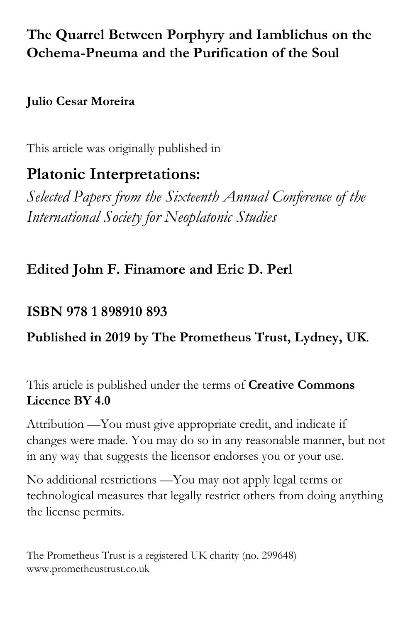# **The Quarrel Between Porphyry and Iamblichus on the Ochema-Pneuma and the Purification of the Soul**

## **Julio Cesar Moreira**

This article was originally published in

# **Platonic Interpretations:**

*Selected Papers from the Sixteenth Annual Conference of the International Society for Neoplatonic Studies*

# **Edited John F. Finamore and Eric D. Perl**

## **ISBN 978 1 898910 893**

# **Published in 2019 by The Prometheus Trust, Lydney, UK**.

This article is published under the terms of **Creative Commons Licence BY 4.0**

Attribution —You must give appropriate credit, and indicate if changes were made. You may do so in any reasonable manner, but not in any way that suggests the licensor endorses you or your use.

No additional restrictions —You may not apply legal terms or technological measures that legally restrict others from doing anything the license permits.

The Prometheus Trust is a registered UK charity (no. 299648) www.prometheustrust.co.uk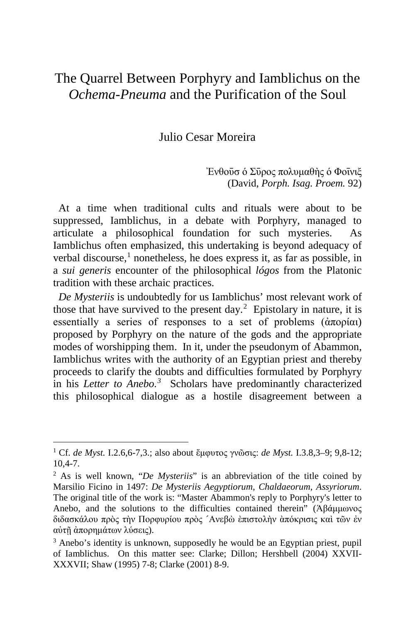## The Quarrel Between Porphyry and Iamblichus on the *Ochema-Pneuma* and the Purification of the Soul

### Julio Cesar Moreira

Ένθοῦσ ό Σῦρος πολυμαθὴς ό Φοἶνιξ (David, *Porph. Isag. Proem.* 92)

At a time when traditional cults and rituals were about to be suppressed, Iamblichus, in a debate with Porphyry, managed to articulate a philosophical foundation for such mysteries. As Iamblichus often emphasized, this undertaking is beyond adequacy of verbal discourse, [1](#page-1-0) nonetheless, he does express it, as far as possible, in a *sui generis* encounter of the philosophical *lógos* from the Platonic tradition with these archaic practices.

 *De Mysteriis* is undoubtedly for us Iamblichus' most relevant work of those that have survived to the present day.<sup>[2](#page-1-1)</sup> Epistolary in nature, it is essentially a series of responses to a set of problems  $(\alpha \pi \omega)$ proposed by Porphyry on the nature of the gods and the appropriate modes of worshipping them. In it, under the pseudonym of Abammon, Iamblichus writes with the authority of an Egyptian priest and thereby proceeds to clarify the doubts and difficulties formulated by Porphyry in his *Letter to Anebo. [3](#page-1-2)* Scholars have predominantly characterized this philosophical dialogue as a hostile disagreement between a

<span id="page-1-0"></span><sup>1</sup> Cf. *de Myst.* I.2.6,6-7,3.; also about ἔμφυτος γνῶσις: *de Myst.* I.3.8,3–9; 9,8-12; 10,4-7.

<span id="page-1-1"></span><sup>2</sup> As is well known, "*De Mysteriis*" is an abbreviation of the title coined by Marsilio Ficino in 1497: *De Mysteriis Aegyptiorum, Chaldaeorum, Assyriorum*. The original title of the work is: "Master Abammon's reply to Porphyry's letter to Anebo, and the solutions to the difficulties contained therein" (Άβάμμωνος διδασκάλου πρὸς τὴν Πορφυρίου πρὸς ´Ανεβὼ ὲπιστολὴν ὰπόκρισις καὶ τῶν ἐν αὐτῇ ἀπορημάτων λύσεις).

<span id="page-1-2"></span><sup>&</sup>lt;sup>3</sup> Anebo's identity is unknown, supposedly he would be an Egyptian priest, pupil of Iamblichus. On this matter see: Clarke; Dillon; Hershbell (2004) XXVII-XXXVII; Shaw (1995) 7-8; Clarke (2001) 8-9.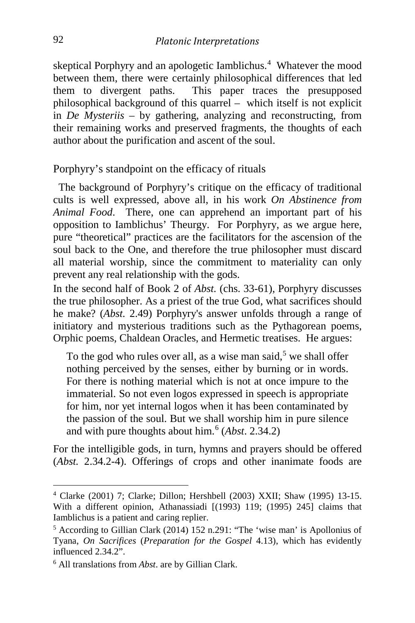skeptical Porphyry and an apologetic Iamblichus. [4](#page-2-0) Whatever the mood between them, there were certainly philosophical differences that led them to divergent paths. This paper traces the presupposed philosophical background of this quarrel – which itself is not explicit in *De Mysteriis –* by gathering, analyzing and reconstructing, from their remaining works and preserved fragments, the thoughts of each author about the purification and ascent of the soul.

Porphyry's standpoint on the efficacy of rituals

 The background of Porphyry's critique on the efficacy of traditional cults is well expressed, above all, in his work *On Abstinence from Animal Food*. There, one can apprehend an important part of his opposition to Iamblichus' Theurgy. For Porphyry, as we argue here, pure "theoretical" practices are the facilitators for the ascension of the soul back to the One, and therefore the true philosopher must discard all material worship, since the commitment to materiality can only prevent any real relationship with the gods.

In the second half of Book 2 of *Abst.* (chs. 33-61), Porphyry discusses the true philosopher. As a priest of the true God, what sacrifices should he make? (*Abst.* 2.49) Porphyry's answer unfolds through a range of initiatory and mysterious traditions such as the Pythagorean poems, Orphic poems, Chaldean Oracles, and Hermetic treatises. He argues:

To the god who rules over all, as a wise man said,<sup>[5](#page-2-1)</sup> we shall offer nothing perceived by the senses, either by burning or in words. For there is nothing material which is not at once impure to the immaterial. So not even logos expressed in speech is appropriate for him, nor yet internal logos when it has been contaminated by the passion of the soul. But we shall worship him in pure silence and with pure thoughts about him.<sup>[6](#page-2-2)</sup> (*Abst.* 2.34.2)

For the intelligible gods, in turn, hymns and prayers should be offered (*Abst.* 2.34.2-4). Offerings of crops and other inanimate foods are

<span id="page-2-0"></span><sup>4</sup> Clarke (2001) 7; Clarke; Dillon; Hershbell (2003) XXII; Shaw (1995) 13-15. With a different opinion, Athanassiadi [(1993) 119; (1995) 245] claims that Iamblichus is a patient and caring replier.

<span id="page-2-1"></span><sup>5</sup> According to Gillian Clark (2014) 152 n.291: "The 'wise man' is Apollonius of Tyana, *On Sacrifices* (*Preparation for the Gospel* 4.13), which has evidently influenced 2.34.2".

<span id="page-2-2"></span><sup>6</sup> All translations from *Abst*. are by Gillian Clark.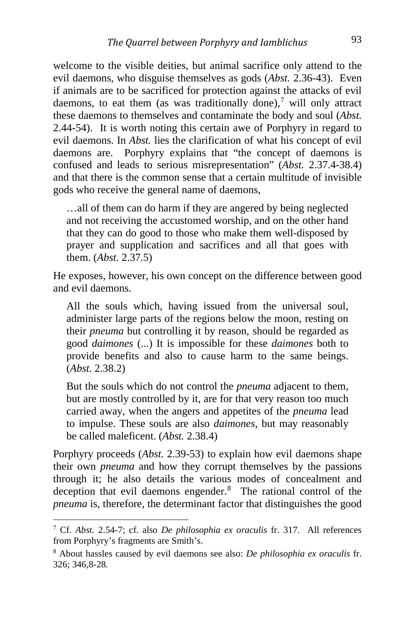welcome to the visible deities, but animal sacrifice only attend to the evil daemons, who disguise themselves as gods (*Abst.* 2.36-43). Even if animals are to be sacrificed for protection against the attacks of evil daemons, to eat them (as was traditionally done),<sup>[7](#page-3-0)</sup> will only attract these daemons to themselves and contaminate the body and soul (*Abst.*  2.44-54). It is worth noting this certain awe of Porphyry in regard to evil daemons. In *Abst.* lies the clarification of what his concept of evil daemons are. Porphyry explains that "the concept of daemons is confused and leads to serious misrepresentation" (*Abst.* 2.37.4-38.4) and that there is the common sense that a certain multitude of invisible gods who receive the general name of daemons,

…all of them can do harm if they are angered by being neglected and not receiving the accustomed worship, and on the other hand that they can do good to those who make them well-disposed by prayer and supplication and sacrifices and all that goes with them. (*Abst.* 2.37.5)

He exposes, however, his own concept on the difference between good and evil daemons.

All the souls which, having issued from the universal soul, administer large parts of the regions below the moon, resting on their *pneuma* but controlling it by reason, should be regarded as good *daimones* (...) It is impossible for these *daimones* both to provide benefits and also to cause harm to the same beings. (*Abst.* 2.38.2)

But the souls which do not control the *pneuma* adjacent to them, but are mostly controlled by it, are for that very reason too much carried away, when the angers and appetites of the *pneuma* lead to impulse. These souls are also *daimones*, but may reasonably be called maleficent. (*Abst.* 2.38.4)

Porphyry proceeds (*Abst.* 2.39-53) to explain how evil daemons shape their own *pneuma* and how they corrupt themselves by the passions through it; he also details the various modes of concealment and deception that evil daemons engender. [8](#page-3-1) The rational control of the *pneuma* is, therefore, the determinant factor that distinguishes the good

<span id="page-3-0"></span><sup>7</sup> Cf. *Abst.* 2.54-7; cf. also *De philosophia ex oraculis* fr. 317. All references from Porphyry's fragments are Smith's.

<span id="page-3-1"></span><sup>8</sup> About hassles caused by evil daemons see also: *De philosophia ex oraculis* fr. 326; 346,8-28*.*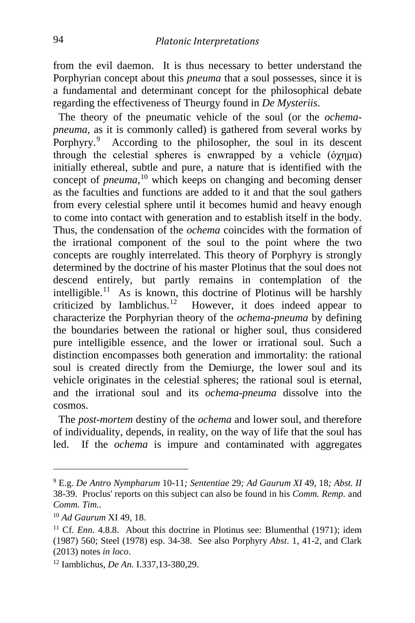from the evil daemon. It is thus necessary to better understand the Porphyrian concept about this *pneuma* that a soul possesses, since it is a fundamental and determinant concept for the philosophical debate regarding the effectiveness of Theurgy found in *De Mysteriis*.

 The theory of the pneumatic vehicle of the soul (or the *ochemapneuma*, as it is commonly called) is gathered from several works by Porphyry.<sup>[9](#page-4-0)</sup> According to the philosopher, the soul in its descent through the celestial spheres is enwrapped by a vehicle (όγημα) initially ethereal, subtle and pure, a nature that is identified with the concept of *pneuma,* [10](#page-4-1) which keeps on changing and becoming denser as the faculties and functions are added to it and that the soul gathers from every celestial sphere until it becomes humid and heavy enough to come into contact with generation and to establish itself in the body. Thus, the condensation of the *ochema* coincides with the formation of the irrational component of the soul to the point where the two concepts are roughly interrelated. This theory of Porphyry is strongly determined by the doctrine of his master Plotinus that the soul does not descend entirely, but partly remains in contemplation of the intelligible.<sup>[11](#page-4-2)</sup> As is known, this doctrine of Plotinus will be harshly criticized by Iamblichus. [12](#page-4-3) However, it does indeed appear to characterize the Porphyrian theory of the *ochema-pneuma* by defining the boundaries between the rational or higher soul, thus considered pure intelligible essence, and the lower or irrational soul. Such a distinction encompasses both generation and immortality: the rational soul is created directly from the Demiurge, the lower soul and its vehicle originates in the celestial spheres; the rational soul is eternal, and the irrational soul and its *ochema-pneuma* dissolve into the cosmos.

 The *post-mortem* destiny of the *ochema* and lower soul, and therefore of individuality, depends, in reality, on the way of life that the soul has led. If the *ochema* is impure and contaminated with aggregates

i,

<span id="page-4-0"></span><sup>9</sup> E.g. *De Antro Nympharum* 10-11*; Sententiae* 29*; Ad Gaurum XI* 49, 18*; Abst. II*  38-39.Proclus' reports on this subject can also be found in his *Comm. Remp.* and *Comm. Tim..*

<span id="page-4-1"></span><sup>10</sup> *Ad Gaurum* XI 49, 18.

<span id="page-4-2"></span><sup>&</sup>lt;sup>11</sup> Cf. *Enn.* 4.8.8. About this doctrine in Plotinus see: Blumenthal (1971); idem (1987) 560; Steel (1978) esp. 34-38. See also Porphyry *Abst*. 1, 41-2, and Clark (2013) notes *in loco*. 12 Iamblichus, *De An.* I.337,13-380,29.

<span id="page-4-3"></span>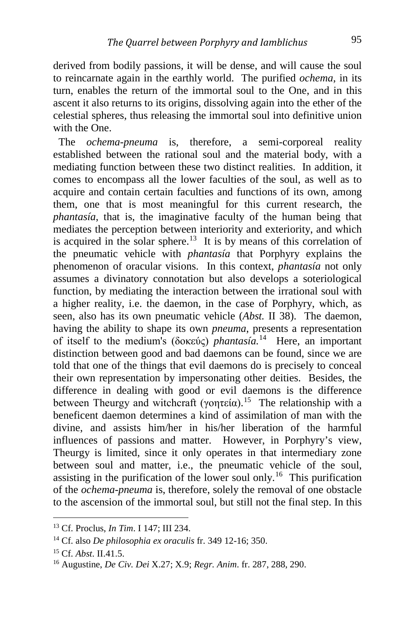derived from bodily passions, it will be dense, and will cause the soul to reincarnate again in the earthly world. The purified *ochema*, in its turn, enables the return of the immortal soul to the One, and in this ascent it also returns to its origins, dissolving again into the ether of the celestial spheres, thus releasing the immortal soul into definitive union with the One.

 The *ochema-pneuma* is, therefore, a semi-corporeal reality established between the rational soul and the material body, with a mediating function between these two distinct realities. In addition, it comes to encompass all the lower faculties of the soul, as well as to acquire and contain certain faculties and functions of its own, among them, one that is most meaningful for this current research, the *phantasía*, that is, the imaginative faculty of the human being that mediates the perception between interiority and exteriority, and which is acquired in the solar sphere.<sup>13</sup> It is by means of this correlation of the pneumatic vehicle with *phantasía* that Porphyry explains the phenomenon of oracular visions. In this context, *phantasía* not only assumes a divinatory connotation but also develops a soteriological function, by mediating the interaction between the irrational soul with a higher reality, i.e. the daemon, in the case of Porphyry, which, as seen, also has its own pneumatic vehicle (*Abst.* II 38). The daemon, having the ability to shape its own *pneuma*, presents a representation of itself to the medium's (δοκεύς) *phantasía.* [14](#page-5-1) Here, an important distinction between good and bad daemons can be found, since we are told that one of the things that evil daemons do is precisely to conceal their own representation by impersonating other deities. Besides, the difference in dealing with good or evil daemons is the difference between Theurgy and witchcraft (γοητεία).<sup>15</sup> The relationship with a beneficent daemon determines a kind of assimilation of man with the divine, and assists him/her in his/her liberation of the harmful influences of passions and matter. However, in Porphyry's view, Theurgy is limited, since it only operates in that intermediary zone between soul and matter, i.e., the pneumatic vehicle of the soul, assisting in the purification of the lower soul only.<sup>[16](#page-5-3)</sup> This purification of the *ochema-pneuma* is, therefore, solely the removal of one obstacle to the ascension of the immortal soul, but still not the final step. In this

<span id="page-5-0"></span><sup>13</sup> Cf. Proclus, *In Tim*. I 147; III 234.

<span id="page-5-1"></span><sup>14</sup> Cf. also *De philosophia ex oraculis* fr. 349 12-16; 350.

<span id="page-5-2"></span><sup>15</sup> Cf. *Abst*. II.41.5.

<span id="page-5-3"></span><sup>16</sup> Augustine, *De Civ. Dei* X.27; X.9; *Regr. Anim*. fr. 287, 288, 290.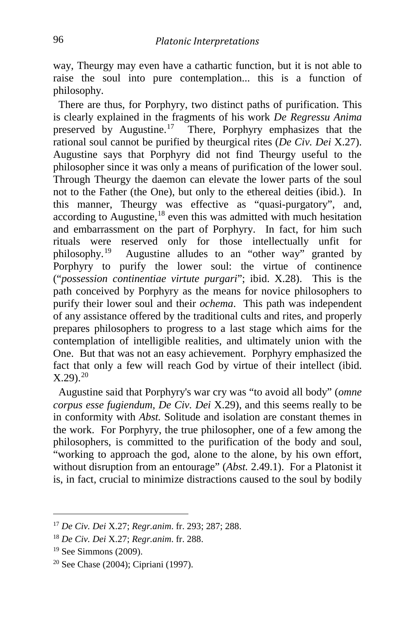way, Theurgy may even have a cathartic function, but it is not able to raise the soul into pure contemplation... this is a function of philosophy.

 There are thus, for Porphyry, two distinct paths of purification. This is clearly explained in the fragments of his work *De Regressu Anima* preserved by Augustine.<sup>17</sup> There, Porphyry emphasizes that the rational soul cannot be purified by theurgical rites (*De Civ. Dei* X.27). Augustine says that Porphyry did not find Theurgy useful to the philosopher since it was only a means of purification of the lower soul. Through Theurgy the daemon can elevate the lower parts of the soul not to the Father (the One), but only to the ethereal deities (ibid.). In this manner, Theurgy was effective as "quasi-purgatory", and, according to Augustine, [18](#page-6-1) even this was admitted with much hesitation and embarrassment on the part of Porphyry. In fact, for him such rituals were reserved only for those intellectually unfit for philosophy.<sup>19</sup> Augustine alludes to an "other way" granted by Porphyry to purify the lower soul: the virtue of continence ("*possession continentiae virtute purgari*"; ibid. X.28). This is the path conceived by Porphyry as the means for novice philosophers to purify their lower soul and their *ochema*. This path was independent of any assistance offered by the traditional cults and rites, and properly prepares philosophers to progress to a last stage which aims for the contemplation of intelligible realities, and ultimately union with the One. But that was not an easy achievement. Porphyry emphasized the fact that only a few will reach God by virtue of their intellect (ibid.  $X.29$ ).<sup>[20](#page-6-3)</sup>

 Augustine said that Porphyry's war cry was "to avoid all body" (*omne corpus esse fugiendum, De Civ. Dei* X.29), and this seems really to be in conformity with *Abst.* Solitude and isolation are constant themes in the work. For Porphyry, the true philosopher, one of a few among the philosophers, is committed to the purification of the body and soul, "working to approach the god, alone to the alone, by his own effort, without disruption from an entourage" (*Abst.* 2.49.1). For a Platonist it is, in fact, crucial to minimize distractions caused to the soul by bodily

<span id="page-6-0"></span><sup>17</sup> *De Civ. Dei* X.27; *Regr.anim*. fr. 293; 287; 288.

<span id="page-6-1"></span><sup>18</sup> *De Civ. Dei* X.27; *Regr.anim*. fr. 288.

<sup>19</sup> See Simmons (2009).

<span id="page-6-3"></span><span id="page-6-2"></span><sup>20</sup> See Chase (2004); Cipriani (1997).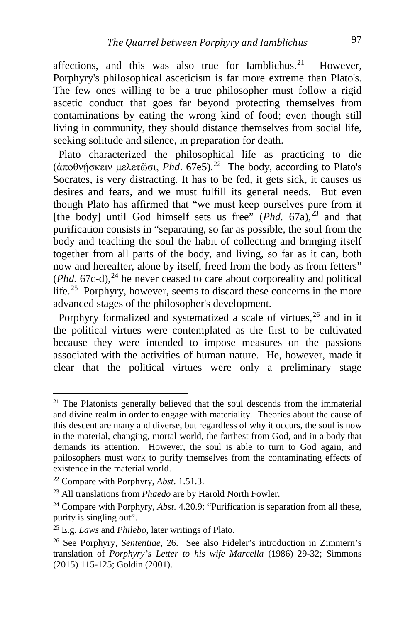affections, and this was also true for Iamblichus. However, Porphyry's philosophical asceticism is far more extreme than Plato's. The few ones willing to be a true philosopher must follow a rigid ascetic conduct that goes far beyond protecting themselves from contaminations by eating the wrong kind of food; even though still living in community, they should distance themselves from social life, seeking solitude and silence, in preparation for death.

 Plato characterized the philosophical life as practicing to die (άποθνήσκειν μελετῶσι, *Phd.* 67e5).<sup>[22](#page-7-1)</sup> The body, according to Plato's Socrates, is very distracting. It has to be fed, it gets sick, it causes us desires and fears, and we must fulfill its general needs. But even though Plato has affirmed that "we must keep ourselves pure from it [the body] until God himself sets us free" (*Phd.* 67a),<sup>[23](#page-7-2)</sup> and that purification consists in "separating, so far as possible, the soul from the body and teaching the soul the habit of collecting and bringing itself together from all parts of the body, and living, so far as it can, both now and hereafter, alone by itself, freed from the body as from fetters" (*Phd.* 67c-d), [24](#page-7-3) he never ceased to care about corporeality and political life.<sup>[25](#page-7-4)</sup> Porphyry, however, seems to discard these concerns in the more advanced stages of the philosopher's development.

 Porphyry formalized and systematized a scale of virtues, [26](#page-7-5) and in it the political virtues were contemplated as the first to be cultivated because they were intended to impose measures on the passions associated with the activities of human nature. He, however, made it clear that the political virtues were only a preliminary stage

<span id="page-7-0"></span> $21$  The Platonists generally believed that the soul descends from the immaterial and divine realm in order to engage with materiality. Theories about the cause of this descent are many and diverse, but regardless of why it occurs, the soul is now in the material, changing, mortal world, the farthest from God, and in a body that demands its attention. However, the soul is able to turn to God again, and philosophers must work to purify themselves from the contaminating effects of existence in the material world.

<span id="page-7-1"></span><sup>22</sup> Compare with Porphyry, *Abst*. 1.51.3.

<span id="page-7-2"></span><sup>23</sup> All translations from *Phaedo* are by Harold North Fowler.

<span id="page-7-3"></span><sup>24</sup> Compare with Porphyry, *Abst*. 4.20.9: "Purification is separation from all these, purity is singling out".

<span id="page-7-4"></span><sup>25</sup> E.g. *Laws* and *Philebo*, later writings of Plato.

<span id="page-7-5"></span><sup>26</sup> See Porphyry*, Sententiae,* 26. See also Fideler's introduction in Zimmern's translation of *Porphyry's Letter to his wife Marcella* (1986) 29-32; Simmons (2015) 115-125; Goldin (2001).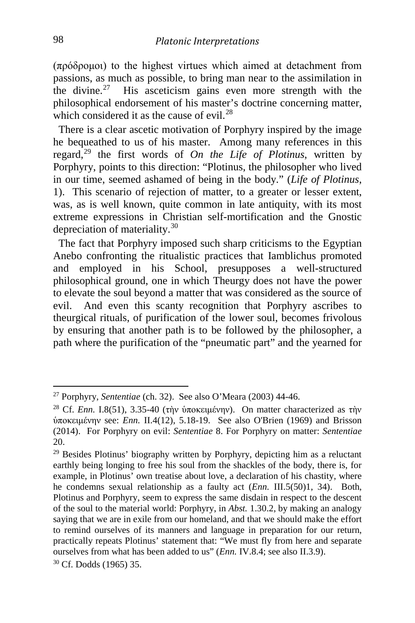(πρόδρομοι) to the highest virtues which aimed at detachment from passions, as much as possible, to bring man near to the assimilation in the divine.<sup>[27](#page-8-0)</sup> His asceticism gains even more strength with the philosophical endorsement of his master's doctrine concerning matter, which considered it as the cause of evil. $^{28}$  $^{28}$  $^{28}$ 

 There is a clear ascetic motivation of Porphyry inspired by the image he bequeathed to us of his master. Among many references in this regard, [29](#page-8-2) the first words of *On the Life of Plotinus*, written by Porphyry, points to this direction: "Plotinus, the philosopher who lived in our time, seemed ashamed of being in the body." (*Life of Plotinus*, 1). This scenario of rejection of matter, to a greater or lesser extent, was, as is well known, quite common in late antiquity, with its most extreme expressions in Christian self-mortification and the Gnostic depreciation of materiality.<sup>[30](#page-8-3)</sup>

 The fact that Porphyry imposed such sharp criticisms to the Egyptian Anebo confronting the ritualistic practices that Iamblichus promoted and employed in his School, presupposes a well-structured philosophical ground, one in which Theurgy does not have the power to elevate the soul beyond a matter that was considered as the source of evil. And even this scanty recognition that Porphyry ascribes to theurgical rituals, of purification of the lower soul, becomes frivolous by ensuring that another path is to be followed by the philosopher, a path where the purification of the "pneumatic part" and the yearned for

<span id="page-8-0"></span><sup>27</sup> Porphyry, *Sententiae* (ch. 32). See also O'Meara (2003) 44-46.

<span id="page-8-1"></span><sup>&</sup>lt;sup>28</sup> Cf. *Enn*. I.8(51), 3.35-40 (τὴν ὑποκειμένην). On matter characterized as τὴν ὑποκειμένην see: *Enn.* II.4(12), 5.18-19. See also O'Brien (1969) and Brisson (2014). For Porphyry on evil: *Sententiae* 8. For Porphyry on matter: *Sententiae*  20.

<span id="page-8-3"></span><span id="page-8-2"></span><sup>&</sup>lt;sup>29</sup> Besides Plotinus' biography written by Porphyry, depicting him as a reluctant earthly being longing to free his soul from the shackles of the body, there is, for example, in Plotinus' own treatise about love, a declaration of his chastity, where he condemns sexual relationship as a faulty act (*Enn.* III.5(50)1, 34). Both, Plotinus and Porphyry, seem to express the same disdain in respect to the descent of the soul to the material world: Porphyry, in *Abst.* 1.30.2, by making an analogy saying that we are in exile from our homeland, and that we should make the effort to remind ourselves of its manners and language in preparation for our return, practically repeats Plotinus' statement that: "We must fly from here and separate ourselves from what has been added to us" (*Enn.* IV.8.4; see also II.3.9). <sup>30</sup> Cf. Dodds (1965) 35.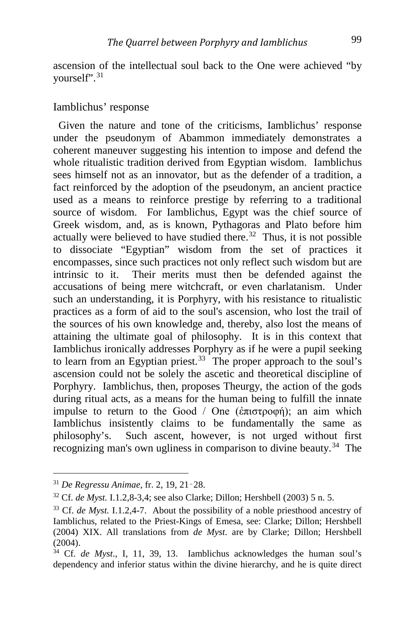ascension of the intellectual soul back to the One were achieved "by yourself". [31](#page-9-0)

#### Iamblichus' response

 Given the nature and tone of the criticisms, Iamblichus' response under the pseudonym of Abammon immediately demonstrates a coherent maneuver suggesting his intention to impose and defend the whole ritualistic tradition derived from Egyptian wisdom. Iamblichus sees himself not as an innovator, but as the defender of a tradition, a fact reinforced by the adoption of the pseudonym, an ancient practice used as a means to reinforce prestige by referring to a traditional source of wisdom. For Iamblichus, Egypt was the chief source of Greek wisdom, and, as is known, Pythagoras and Plato before him actually were believed to have studied there. $32$  Thus, it is not possible to dissociate "Egyptian" wisdom from the set of practices it encompasses, since such practices not only reflect such wisdom but are intrinsic to it. Their merits must then be defended against the accusations of being mere witchcraft, or even charlatanism. Under such an understanding, it is Porphyry, with his resistance to ritualistic practices as a form of aid to the soul's ascension, who lost the trail of the sources of his own knowledge and, thereby, also lost the means of attaining the ultimate goal of philosophy. It is in this context that Iamblichus ironically addresses Porphyry as if he were a pupil seeking to learn from an Egyptian priest.<sup>33</sup> The proper approach to the soul's ascension could not be solely the ascetic and theoretical discipline of Porphyry. Iamblichus, then, proposes Theurgy, the action of the gods during ritual acts, as a means for the human being to fulfill the innate impulse to return to the Good / One (ἐπιστροφή); an aim which Iamblichus insistently claims to be fundamentally the same as philosophy's. Such ascent, however, is not urged without first recognizing man's own ugliness in comparison to divine beauty.<sup>34</sup> The

<span id="page-9-0"></span><sup>31</sup> *De Regressu Animae*, fr. 2, 19, 21‑28.

<span id="page-9-1"></span><sup>32</sup> Cf. *de Myst.* I.1.2,8-3,4; see also Clarke; Dillon; Hershbell (2003) 5 n. 5.

<span id="page-9-2"></span><sup>33</sup> Cf. *de Myst.* I.1.2,4-7. About the possibility of a noble priesthood ancestry of Iamblichus, related to the Priest-Kings of Emesa, see: Clarke; Dillon; Hershbell (2004) XIX. All translations from *de Myst*. are by Clarke; Dillon; Hershbell (2004).

<span id="page-9-3"></span><sup>34</sup> Cf. *de Myst*., I, 11, 39, 13. Iamblichus acknowledges the human soul's dependency and inferior status within the divine hierarchy, and he is quite direct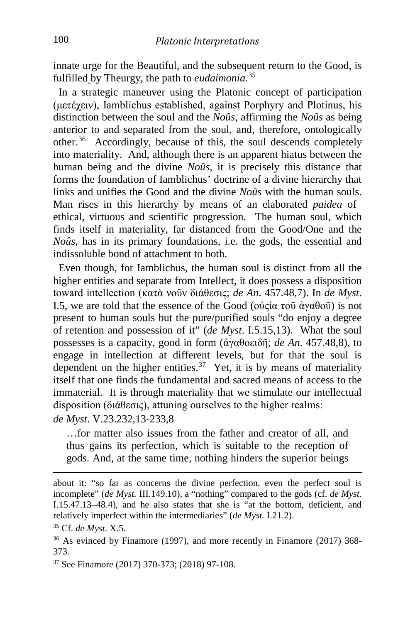innate urge for the Beautiful, and the subsequent return to the Good, is fulfilled by Theurgy, the path to *eudaimonia.* [35](#page-10-0)

 In a strategic maneuver using the Platonic concept of participation (μετέχειν), Iamblichus established, against Porphyry and Plotinus, his distinction between the soul and the *Noûs*, affirming the *Noûs* as being anterior to and separated from the soul, and, therefore, ontologically other. [36](#page-10-1) Accordingly, because of this, the soul descends completely into materiality. And, although there is an apparent hiatus between the human being and the divine *Noûs*, it is precisely this distance that forms the foundation of Iamblichus' doctrine of a divine hierarchy that links and unifies the Good and the divine *Noûs* with the human souls. Man rises in this hierarchy by means of an elaborated *paidea* of ethical, virtuous and scientific progression. The human soul, which finds itself in materiality, far distanced from the Good/One and the *Noûs*, has in its primary foundations, i.e. the gods, the essential and indissoluble bond of attachment to both.

 Even though, for Iamblichus, the human soul is distinct from all the higher entities and separate from Intellect, it does possess a disposition toward intellection (κατὰ νοῦν διάθεσις; *de An*. 457.48,7). In *de Myst*. I.5, we are told that the essence of the Good (οὐςία τοῦ ἀγαθοῦ) is not present to human souls but the pure/purified souls "do enjoy a degree of retention and possession of it" (*de Myst*. I.5.15,13). What the soul possesses is a capacity, good in form (ἀγαθοειδῆ; *de An*. 457.48,8), to engage in intellection at different levels, but for that the soul is dependent on the higher entities.<sup>[37](#page-10-2)</sup> Yet, it is by means of materiality itself that one finds the fundamental and sacred means of access to the immaterial. It is through materiality that we stimulate our intellectual disposition (διάθεσις), attuning ourselves to the higher realms: *de Myst*. V.23.232,13-233,8

…for matter also issues from the father and creator of all, and thus gains its perfection, which is suitable to the reception of gods. And, at the same time, nothing hinders the superior beings

<span id="page-10-2"></span><sup>37</sup> See Finamore (2017) 370-373; (2018) 97-108.

about it: "so far as concerns the divine perfection, even the perfect soul is incomplete" (*de Myst.* III.149.10), a "nothing" compared to the gods (cf. *de Myst.* I.15.47.13–48.4), and he also states that she is "at the bottom, deficient, and relatively imperfect within the intermediaries" (*de Myst.* I.21.2).

<span id="page-10-0"></span><sup>35</sup> Cf. *de Myst*. X.5.

<span id="page-10-1"></span><sup>&</sup>lt;sup>36</sup> As evinced by Finamore (1997), and more recently in Finamore (2017) 368-373.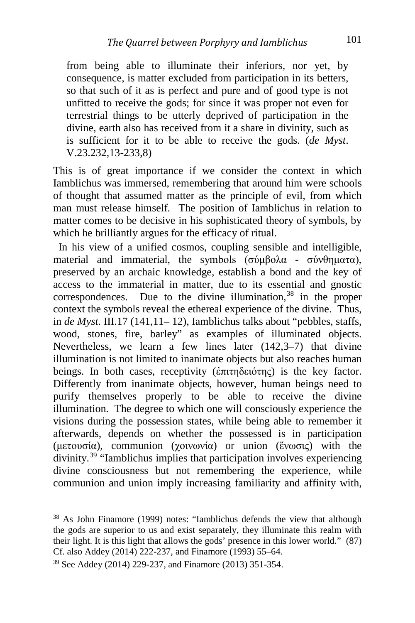from being able to illuminate their inferiors, nor yet, by consequence, is matter excluded from participation in its betters, so that such of it as is perfect and pure and of good type is not unfitted to receive the gods; for since it was proper not even for terrestrial things to be utterly deprived of participation in the divine, earth also has received from it a share in divinity, such as is sufficient for it to be able to receive the gods. (*de Myst*. V.23.232,13-233,8)

This is of great importance if we consider the context in which Iamblichus was immersed, remembering that around him were schools of thought that assumed matter as the principle of evil, from which man must release himself. The position of Iamblichus in relation to matter comes to be decisive in his sophisticated theory of symbols, by which he brilliantly argues for the efficacy of ritual.

 In his view of a unified cosmos, coupling sensible and intelligible, material and immaterial, the symbols (σύμβολα - σύνθηματα), preserved by an archaic knowledge, establish a bond and the key of access to the immaterial in matter, due to its essential and gnostic correspondences. Due to the divine illumination, [38](#page-11-0) in the proper context the symbols reveal the ethereal experience of the divine. Thus, in *de Myst.* III.17 (141,11– 12), Iamblichus talks about "pebbles, staffs, wood, stones, fire, barley" as examples of illuminated objects. Nevertheless, we learn a few lines later (142,3–7) that divine illumination is not limited to inanimate objects but also reaches human beings. In both cases, receptivity (ἐπιτηδειότης) is the key factor. Differently from inanimate objects, however, human beings need to purify themselves properly to be able to receive the divine illumination. The degree to which one will consciously experience the visions during the possession states, while being able to remember it afterwards, depends on whether the possessed is in participation (μετουσία), communion (χοινωνία) or union (ἕνωσις) with the divinity. [39](#page-11-1) "Iamblichus implies that participation involves experiencing divine consciousness but not remembering the experience, while communion and union imply increasing familiarity and affinity with,

<span id="page-11-0"></span><sup>38</sup> As John Finamore (1999) notes: "Iamblichus defends the view that although the gods are superior to us and exist separately, they illuminate this realm with their light. It is this light that allows the gods' presence in this lower world." (87) Cf. also Addey (2014) 222-237, and Finamore (1993) 55–64.

<span id="page-11-1"></span><sup>39</sup> See Addey (2014) 229-237, and Finamore (2013) 351-354.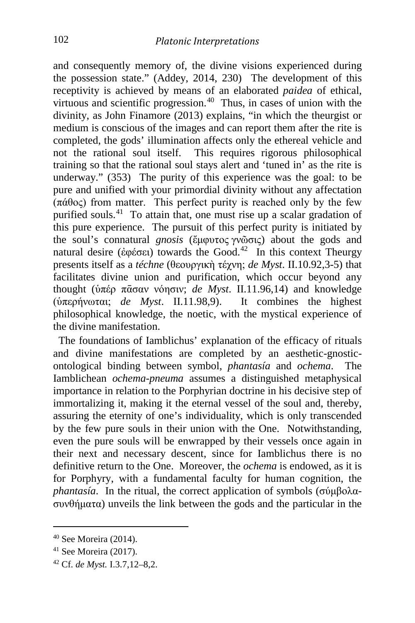and consequently memory of, the divine visions experienced during the possession state." (Addey, 2014, 230) The development of this receptivity is achieved by means of an elaborated *paidea* of ethical, virtuous and scientific progression. [40](#page-12-0) Thus, in cases of union with the divinity, as John Finamore (2013) explains, "in which the theurgist or medium is conscious of the images and can report them after the rite is completed, the gods' illumination affects only the ethereal vehicle and not the rational soul itself. This requires rigorous philosophical training so that the rational soul stays alert and 'tuned in' as the rite is underway." (353) The purity of this experience was the goal: to be pure and unified with your primordial divinity without any affectation (πάθος) from matter. This perfect purity is reached only by the few purified souls.<sup>[41](#page-12-1)</sup> To attain that, one must rise up a scalar gradation of this pure experience. The pursuit of this perfect purity is initiated by the soul's connatural *gnosis* (ἔμφυτος γνῶσις) about the gods and natural desire (ἐφέσει) towards the Good. [42](#page-12-2) In this context Theurgy presents itself as a *téchne* (θεουργικὴ τέχνη; *de Myst*. II.10.92,3-5) that facilitates divine union and purification, which occur beyond any thought (ὑπέρ πᾱσαν νόησιν; *de Myst*. II.11.96,14) and knowledge (ὑπερήνωται; *de Myst*. II.11.98,9). It combines the highest philosophical knowledge, the noetic, with the mystical experience of the divine manifestation.

 The foundations of Iamblichus' explanation of the efficacy of rituals and divine manifestations are completed by an aesthetic-gnosticontological binding between symbol, *phantasía* and *ochema*. The Iamblichean *ochema-pneuma* assumes a distinguished metaphysical importance in relation to the Porphyrian doctrine in his decisive step of immortalizing it, making it the eternal vessel of the soul and, thereby, assuring the eternity of one's individuality, which is only transcended by the few pure souls in their union with the One. Notwithstanding, even the pure souls will be enwrapped by their vessels once again in their next and necessary descent, since for Iamblichus there is no definitive return to the One. Moreover, the *ochema* is endowed, as it is for Porphyry, with a fundamental faculty for human cognition, the *phantasía*. In the ritual, the correct application of symbols (σύμβολασυνθήματα) unveils the link between the gods and the particular in the

<span id="page-12-0"></span><sup>40</sup> See Moreira (2014).

<span id="page-12-1"></span><sup>41</sup> See Moreira (2017).

<span id="page-12-2"></span><sup>42</sup> Cf. *de Myst.* I.3.7,12–8,2.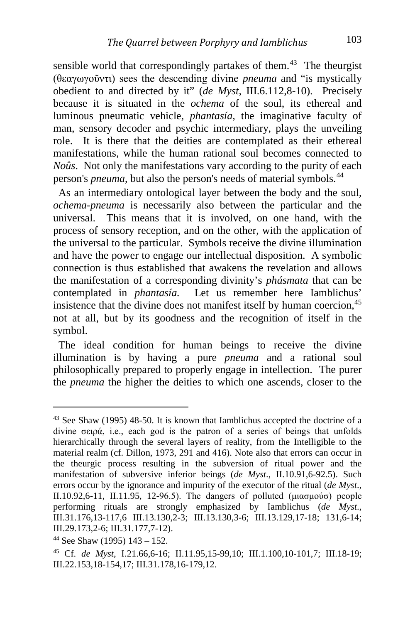sensible world that correspondingly partakes of them.<sup>43</sup> The theurgist (θεαγωγοῦντι) sees the descending divine *pneuma* and "is mystically obedient to and directed by it" (*de Myst*, III.6.112,8-10). Precisely because it is situated in the *ochema* of the soul, its ethereal and luminous pneumatic vehicle, *phantasía*, the imaginative faculty of man, sensory decoder and psychic intermediary, plays the unveiling role. It is there that the deities are contemplated as their ethereal manifestations, while the human rational soul becomes connected to *Noûs*. Not only the manifestations vary according to the purity of each person's *pneuma*, but also the person's needs of material symbols. [44](#page-13-1)

 As an intermediary ontological layer between the body and the soul, *ochema-pneuma* is necessarily also between the particular and the universal. This means that it is involved, on one hand, with the process of sensory reception, and on the other, with the application of the universal to the particular. Symbols receive the divine illumination and have the power to engage our intellectual disposition. A symbolic connection is thus established that awakens the revelation and allows the manifestation of a corresponding divinity's *phásmata* that can be contemplated in *phantasía.* Let us remember here Iamblichus' insistence that the divine does not manifest itself by human coercion,<sup>[45](#page-13-2)</sup> not at all, but by its goodness and the recognition of itself in the symbol.

 The ideal condition for human beings to receive the divine illumination is by having a pure *pneuma* and a rational soul philosophically prepared to properly engage in intellection. The purer the *pneuma* the higher the deities to which one ascends, closer to the

i,

<span id="page-13-0"></span><sup>43</sup> See Shaw (1995) 48-50. It is known that Iamblichus accepted the doctrine of a divine σειρά, i.e., each god is the patron of a series of beings that unfolds hierarchically through the several layers of reality, from the Intelligible to the material realm (cf. Dillon, 1973, 291 and 416). Note also that errors can occur in the theurgic process resulting in the subversion of ritual power and the manifestation of subversive inferior beings (*de Myst*., II.10.91,6-92.5). Such errors occur by the ignorance and impurity of the executor of the ritual (*de Myst*., II.10.92,6-11, II.11.95, 12-96.5). The dangers of polluted (μιασμούσ) people performing rituals are strongly emphasized by Iamblichus (*de Myst*., III.31.176,13-117,6 III.13.130,2-3; III.13.130,3-6; III.13.129,17-18; 131,6-14; III.29.173,2-6; III.31.177,7-12).

<span id="page-13-1"></span> $44$  See Shaw (1995) 143 – 152.

<span id="page-13-2"></span><sup>45</sup> Cf. *de Myst*, I.21.66,6-16; II.11.95,15-99,10; III.1.100,10-101,7; III.18-19; III.22.153,18-154,17; III.31.178,16-179,12.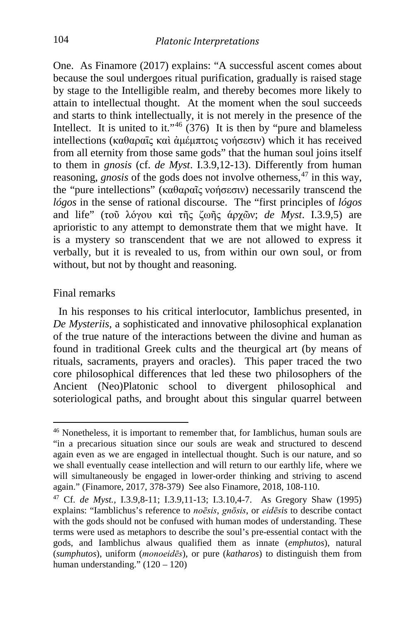One. As Finamore (2017) explains: "A successful ascent comes about because the soul undergoes ritual purification, gradually is raised stage by stage to the Intelligible realm, and thereby becomes more likely to attain to intellectual thought. At the moment when the soul succeeds and starts to think intellectually, it is not merely in the presence of the Intellect. It is united to it."<sup>[46](#page-14-0)</sup> (376) It is then by "pure and blameless intellections (καθαραῖς καὶ ἀμέμπτοις νοήσεσιν) which it has received from all eternity from those same gods" that the human soul joins itself to them in *gnosis* (cf. *de Myst*. I.3.9,12-13). Differently from human reasoning, *gnosis* of the gods does not involve otherness, [47](#page-14-1) in this way, the "pure intellections" (καθαραῖς νοήσεσιν) necessarily transcend the *lógos* in the sense of rational discourse. The "first principles of *lógos*  and life" (τοῦ λόγου καὶ τῆς ζωῆς άρχῶν; *de Myst*. Ι.3.9,5) are aprioristic to any attempt to demonstrate them that we might have. It is a mystery so transcendent that we are not allowed to express it verbally, but it is revealed to us, from within our own soul, or from without, but not by thought and reasoning.

#### Final remarks

 In his responses to his critical interlocutor, Iamblichus presented, in *De Mysteriis,* a sophisticated and innovative philosophical explanation of the true nature of the interactions between the divine and human as found in traditional Greek cults and the theurgical art (by means of rituals, sacraments, prayers and oracles). This paper traced the two core philosophical differences that led these two philosophers of the Ancient (Neo)Platonic school to divergent philosophical and soteriological paths, and brought about this singular quarrel between

<span id="page-14-0"></span><sup>46</sup> Nonetheless, it is important to remember that, for Iamblichus, human souls are "in a precarious situation since our souls are weak and structured to descend again even as we are engaged in intellectual thought. Such is our nature, and so we shall eventually cease intellection and will return to our earthly life, where we will simultaneously be engaged in lower-order thinking and striving to ascend again." (Finamore, 2017, 378-379) See also Finamore, 2018, 108-110.

<span id="page-14-1"></span><sup>47</sup> Cf. *de Myst.,* I.3.9,8-11; I.3.9,11-13; I.3.10,4-7. As Gregory Shaw (1995) explains: "Iamblichus's reference to *noēsis*, *gnōsis*, or *eidēsis* to describe contact with the gods should not be confused with human modes of understanding. These terms were used as metaphors to describe the soul's pre-essential contact with the gods, and Iamblichus alwaus qualified them as innate (*emphutos*), natural (*sumphutos*), uniform (*monoeidēs*), or pure (*katharos*) to distinguish them from human understanding." (120 – 120)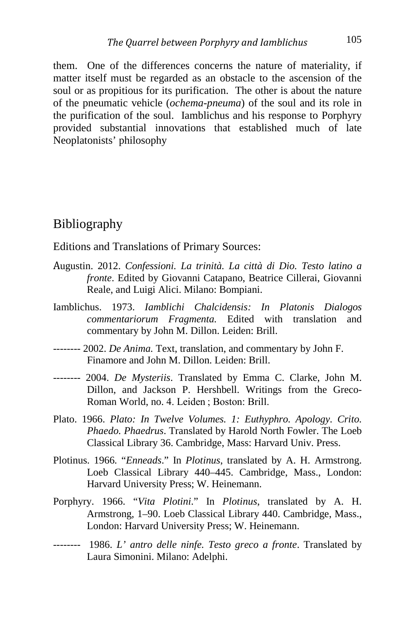them. One of the differences concerns the nature of materiality, if matter itself must be regarded as an obstacle to the ascension of the soul or as propitious for its purification. The other is about the nature of the pneumatic vehicle (*ochema-pneuma*) of the soul and its role in the purification of the soul. Iamblichus and his response to Porphyry provided substantial innovations that established much of late Neoplatonists' philosophy

### Bibliography

Editions and Translations of Primary Sources:

- Augustin. 2012. *Confessioni. La trinità. La città di Dio. Testo latino a fronte*. Edited by Giovanni Catapano, Beatrice Cillerai, Giovanni Reale, and Luigi Alici. Milano: Bompiani.
- Iamblichus. 1973. *Iamblichi Chalcidensis: In Platonis Dialogos commentariorum Fragmenta.* Edited with translation and commentary by John M. Dillon. Leiden: Brill.
- -------- 2002. *De Anima.* Text, translation, and commentary by John F. Finamore and John M. Dillon. Leiden: Brill.
- -------- 2004. *De Mysteriis*. Translated by Emma C. Clarke, John M. Dillon, and Jackson P. Hershbell. Writings from the Greco-Roman World, no. 4. Leiden ; Boston: Brill.
- Plato. 1966. *Plato: In Twelve Volumes. 1: Euthyphro. Apology. Crito. Phaedo. Phaedrus*. Translated by Harold North Fowler. The Loeb Classical Library 36. Cambridge, Mass: Harvard Univ. Press.
- Plotinus. 1966. "*Enneads*." In *Plotinus*, translated by A. H. Armstrong. Loeb Classical Library 440–445. Cambridge, Mass., London: Harvard University Press; W. Heinemann.
- Porphyry. 1966. "*Vita Plotini*." In *Plotinus*, translated by A. H. Armstrong, 1–90. Loeb Classical Library 440. Cambridge, Mass., London: Harvard University Press; W. Heinemann.
- -------- 1986. *L' antro delle ninfe. Testo greco a fronte*. Translated by Laura Simonini. Milano: Adelphi.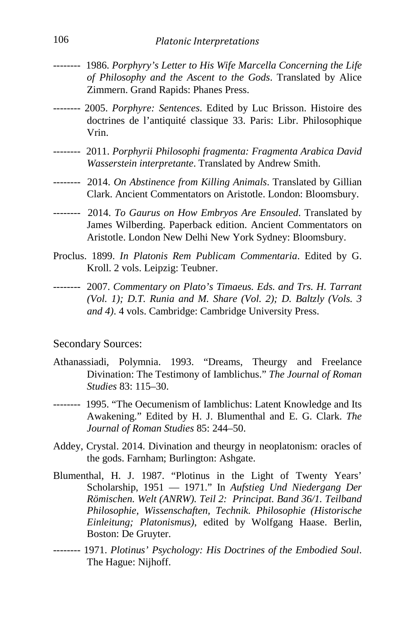- -------- 1986. *Porphyry's Letter to His Wife Marcella Concerning the Life of Philosophy and the Ascent to the Gods*. Translated by Alice Zimmern. Grand Rapids: Phanes Press.
- -------- 2005. *Porphyre: Sentences*. Edited by Luc Brisson. Histoire des doctrines de l'antiquité classique 33. Paris: Libr. Philosophique Vrin.
- -------- 2011. *Porphyrii Philosophi fragmenta: Fragmenta Arabica David Wasserstein interpretante*. Translated by Andrew Smith.
- -------- 2014. *On Abstinence from Killing Animals*. Translated by Gillian Clark. Ancient Commentators on Aristotle. London: Bloomsbury.
- -------- 2014. *To Gaurus on How Embryos Are Ensouled*. Translated by James Wilberding. Paperback edition. Ancient Commentators on Aristotle. London New Delhi New York Sydney: Bloomsbury.
- Proclus. 1899. *In Platonis Rem Publicam Commentaria*. Edited by G. Kroll. 2 vols. Leipzig: Teubner.
- -------- 2007. *Commentary on Plato's Timaeus. Eds. and Trs. H. Tarrant (Vol. 1); D.T. Runia and M. Share (Vol. 2); D. Baltzly (Vols. 3 and 4)*. 4 vols. Cambridge: Cambridge University Press.

### Secondary Sources:

- Athanassiadi, Polymnia. 1993. "Dreams, Theurgy and Freelance Divination: The Testimony of Iamblichus." *The Journal of Roman Studies* 83: 115–30.
- -------- 1995. "The Oecumenism of Iamblichus: Latent Knowledge and Its Awakening." Edited by H. J. Blumenthal and E. G. Clark. *The Journal of Roman Studies* 85: 244–50.
- Addey, Crystal. 2014. Divination and theurgy in neoplatonism: oracles of the gods. Farnham; Burlington: Ashgate.
- Blumenthal, H. J. 1987. "Plotinus in the Light of Twenty Years' Scholarship, 1951 — 1971." In *Aufstieg Und Niedergang Der Römischen. Welt (ANRW). Teil 2: Principat. Band 36/1. Teilband Philosophie, Wissenschaften, Technik. Philosophie (Historische Einleitung; Platonismus)*, edited by Wolfgang Haase. Berlin, Boston: De Gruyter.
- -------- 1971. *Plotinus' Psychology: His Doctrines of the Embodied Soul*. The Hague: Nijhoff.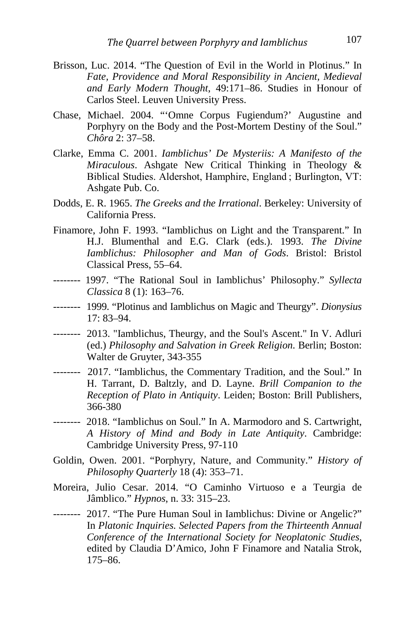- Brisson, Luc. 2014. "The Question of Evil in the World in Plotinus." In *Fate, Providence and Moral Responsibility in Ancient, Medieval and Early Modern Thought*, 49:171–86. Studies in Honour of Carlos Steel. Leuven University Press.
- Chase, Michael. 2004. "'Omne Corpus Fugiendum?' Augustine and Porphyry on the Body and the Post-Mortem Destiny of the Soul." *Chôra* 2: 37–58.
- Clarke, Emma C. 2001. *Iamblichus' De Mysteriis: A Manifesto of the Miraculous*. Ashgate New Critical Thinking in Theology & Biblical Studies. Aldershot, Hamphire, England ; Burlington, VT: Ashgate Pub. Co.
- Dodds, E. R. 1965. *The Greeks and the Irrational*. Berkeley: University of California Press.
- Finamore, John F. 1993. "Iamblichus on Light and the Transparent." In H.J. Blumenthal and E.G. Clark (eds.). 1993. *The Divine Iamblichus: Philosopher and Man of Gods*. Bristol: Bristol Classical Press, 55–64.
- -------- 1997. "The Rational Soul in Iamblichus' Philosophy." *Syllecta Classica* 8 (1): 163–76.
- -------- 1999. "Plotinus and Iamblichus on Magic and Theurgy". *Dionysius* 17: 83–94.
- -------- 2013. "Iamblichus, Theurgy, and the Soul's Ascent." In V. Adluri (ed.) *Philosophy and Salvation in Greek Religion*. Berlin; Boston: Walter de Gruyter, 343-355
- -------- 2017. "Iamblichus, the Commentary Tradition, and the Soul." In H. Tarrant, D. Baltzly, and D. Layne. *Brill Companion to the Reception of Plato in Antiquity*. Leiden; Boston: Brill Publishers, 366-380
- -------- 2018. "Iamblichus on Soul." In A. Marmodoro and S. Cartwright, *A History of Mind and Body in Late Antiquity*. Cambridge: Cambridge University Press, 97-110
- Goldin, Owen. 2001. "Porphyry, Nature, and Community." *History of Philosophy Quarterly* 18 (4): 353–71.
- Moreira, Julio Cesar. 2014. "O Caminho Virtuoso e a Teurgia de Jâmblico." *Hypnos*, n. 33: 315–23.
- -------- 2017. "The Pure Human Soul in Iamblichus: Divine or Angelic?" In *Platonic Inquiries. Selected Papers from the Thirteenth Annual Conference of the International Society for Neoplatonic Studies*, edited by Claudia D'Amico, John F Finamore and Natalia Strok, 175–86.